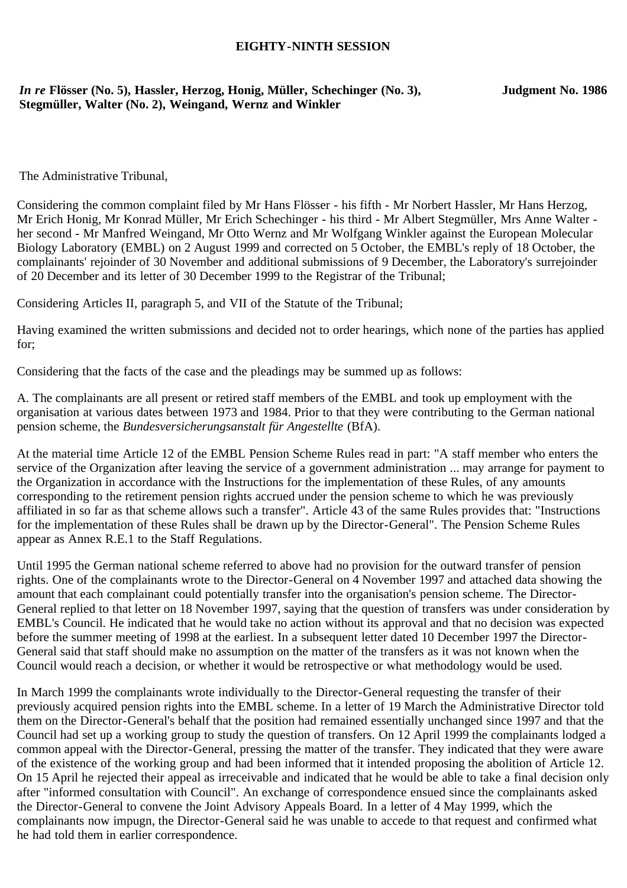## **EIGHTY-NINTH SESSION**

## *In re* **Flösser (No. 5), Hassler, Herzog, Honig, Müller, Schechinger (No. 3), Stegmüller, Walter (No. 2), Weingand, Wernz and Winkler**

**Judgment No. 1986**

The Administrative Tribunal,

Considering the common complaint filed by Mr Hans Flösser - his fifth - Mr Norbert Hassler, Mr Hans Herzog, Mr Erich Honig, Mr Konrad Müller, Mr Erich Schechinger - his third - Mr Albert Stegmüller, Mrs Anne Walter her second - Mr Manfred Weingand, Mr Otto Wernz and Mr Wolfgang Winkler against the European Molecular Biology Laboratory (EMBL) on 2 August 1999 and corrected on 5 October, the EMBL's reply of 18 October, the complainants' rejoinder of 30 November and additional submissions of 9 December, the Laboratory's surrejoinder of 20 December and its letter of 30 December 1999 to the Registrar of the Tribunal;

Considering Articles II, paragraph 5, and VII of the Statute of the Tribunal;

Having examined the written submissions and decided not to order hearings, which none of the parties has applied for;

Considering that the facts of the case and the pleadings may be summed up as follows:

A. The complainants are all present or retired staff members of the EMBL and took up employment with the organisation at various dates between 1973 and 1984. Prior to that they were contributing to the German national pension scheme, the *Bundesversicherungsanstalt für Angestellte* (BfA).

At the material time Article 12 of the EMBL Pension Scheme Rules read in part: "A staff member who enters the service of the Organization after leaving the service of a government administration ... may arrange for payment to the Organization in accordance with the Instructions for the implementation of these Rules, of any amounts corresponding to the retirement pension rights accrued under the pension scheme to which he was previously affiliated in so far as that scheme allows such a transfer". Article 43 of the same Rules provides that: "Instructions for the implementation of these Rules shall be drawn up by the Director-General". The Pension Scheme Rules appear as Annex R.E.1 to the Staff Regulations.

Until 1995 the German national scheme referred to above had no provision for the outward transfer of pension rights. One of the complainants wrote to the Director-General on 4 November 1997 and attached data showing the amount that each complainant could potentially transfer into the organisation's pension scheme. The Director-General replied to that letter on 18 November 1997, saying that the question of transfers was under consideration by EMBL's Council. He indicated that he would take no action without its approval and that no decision was expected before the summer meeting of 1998 at the earliest. In a subsequent letter dated 10 December 1997 the Director-General said that staff should make no assumption on the matter of the transfers as it was not known when the Council would reach a decision, or whether it would be retrospective or what methodology would be used.

In March 1999 the complainants wrote individually to the Director-General requesting the transfer of their previously acquired pension rights into the EMBL scheme. In a letter of 19 March the Administrative Director told them on the Director-General's behalf that the position had remained essentially unchanged since 1997 and that the Council had set up a working group to study the question of transfers. On 12 April 1999 the complainants lodged a common appeal with the Director-General, pressing the matter of the transfer. They indicated that they were aware of the existence of the working group and had been informed that it intended proposing the abolition of Article 12. On 15 April he rejected their appeal as irreceivable and indicated that he would be able to take a final decision only after "informed consultation with Council". An exchange of correspondence ensued since the complainants asked the Director-General to convene the Joint Advisory Appeals Board. In a letter of 4 May 1999, which the complainants now impugn, the Director-General said he was unable to accede to that request and confirmed what he had told them in earlier correspondence.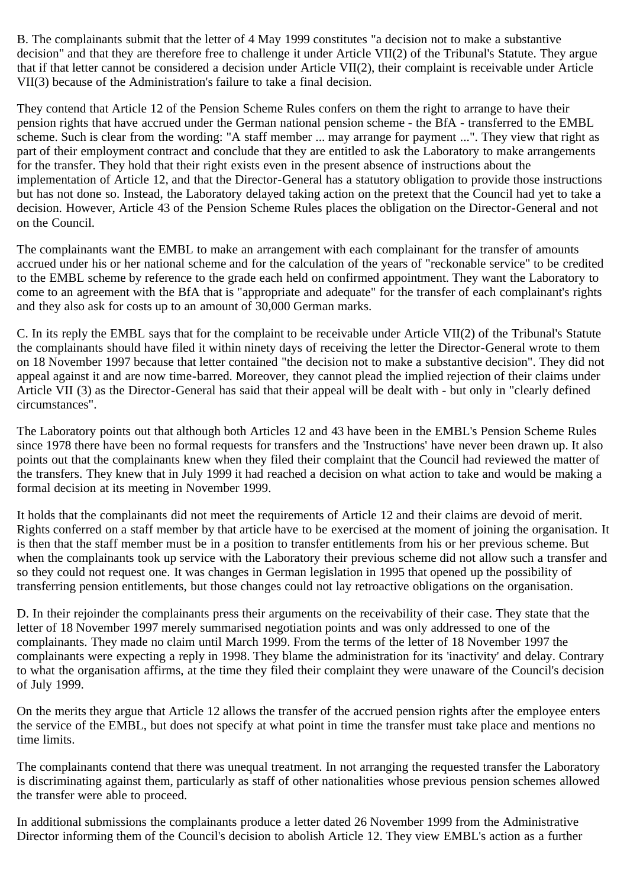B. The complainants submit that the letter of 4 May 1999 constitutes "a decision not to make a substantive decision" and that they are therefore free to challenge it under Article VII(2) of the Tribunal's Statute. They argue that if that letter cannot be considered a decision under Article VII(2), their complaint is receivable under Article VII(3) because of the Administration's failure to take a final decision.

They contend that Article 12 of the Pension Scheme Rules confers on them the right to arrange to have their pension rights that have accrued under the German national pension scheme - the BfA - transferred to the EMBL scheme. Such is clear from the wording: "A staff member ... may arrange for payment ...". They view that right as part of their employment contract and conclude that they are entitled to ask the Laboratory to make arrangements for the transfer. They hold that their right exists even in the present absence of instructions about the implementation of Article 12, and that the Director-General has a statutory obligation to provide those instructions but has not done so. Instead, the Laboratory delayed taking action on the pretext that the Council had yet to take a decision. However, Article 43 of the Pension Scheme Rules places the obligation on the Director-General and not on the Council.

The complainants want the EMBL to make an arrangement with each complainant for the transfer of amounts accrued under his or her national scheme and for the calculation of the years of "reckonable service" to be credited to the EMBL scheme by reference to the grade each held on confirmed appointment. They want the Laboratory to come to an agreement with the BfA that is "appropriate and adequate" for the transfer of each complainant's rights and they also ask for costs up to an amount of 30,000 German marks.

C. In its reply the EMBL says that for the complaint to be receivable under Article VII(2) of the Tribunal's Statute the complainants should have filed it within ninety days of receiving the letter the Director-General wrote to them on 18 November 1997 because that letter contained "the decision not to make a substantive decision". They did not appeal against it and are now time-barred. Moreover, they cannot plead the implied rejection of their claims under Article VII (3) as the Director-General has said that their appeal will be dealt with - but only in "clearly defined circumstances".

The Laboratory points out that although both Articles 12 and 43 have been in the EMBL's Pension Scheme Rules since 1978 there have been no formal requests for transfers and the 'Instructions' have never been drawn up. It also points out that the complainants knew when they filed their complaint that the Council had reviewed the matter of the transfers. They knew that in July 1999 it had reached a decision on what action to take and would be making a formal decision at its meeting in November 1999.

It holds that the complainants did not meet the requirements of Article 12 and their claims are devoid of merit. Rights conferred on a staff member by that article have to be exercised at the moment of joining the organisation. It is then that the staff member must be in a position to transfer entitlements from his or her previous scheme. But when the complainants took up service with the Laboratory their previous scheme did not allow such a transfer and so they could not request one. It was changes in German legislation in 1995 that opened up the possibility of transferring pension entitlements, but those changes could not lay retroactive obligations on the organisation.

D. In their rejoinder the complainants press their arguments on the receivability of their case. They state that the letter of 18 November 1997 merely summarised negotiation points and was only addressed to one of the complainants. They made no claim until March 1999. From the terms of the letter of 18 November 1997 the complainants were expecting a reply in 1998. They blame the administration for its 'inactivity' and delay. Contrary to what the organisation affirms, at the time they filed their complaint they were unaware of the Council's decision of July 1999.

On the merits they argue that Article 12 allows the transfer of the accrued pension rights after the employee enters the service of the EMBL, but does not specify at what point in time the transfer must take place and mentions no time limits.

The complainants contend that there was unequal treatment. In not arranging the requested transfer the Laboratory is discriminating against them, particularly as staff of other nationalities whose previous pension schemes allowed the transfer were able to proceed.

In additional submissions the complainants produce a letter dated 26 November 1999 from the Administrative Director informing them of the Council's decision to abolish Article 12. They view EMBL's action as a further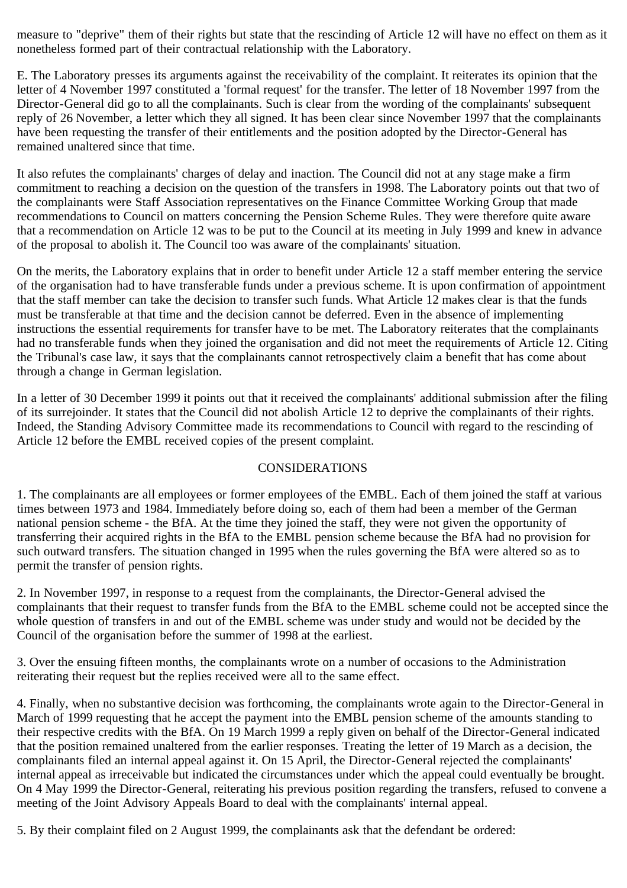measure to "deprive" them of their rights but state that the rescinding of Article 12 will have no effect on them as it nonetheless formed part of their contractual relationship with the Laboratory.

E. The Laboratory presses its arguments against the receivability of the complaint. It reiterates its opinion that the letter of 4 November 1997 constituted a 'formal request' for the transfer. The letter of 18 November 1997 from the Director-General did go to all the complainants. Such is clear from the wording of the complainants' subsequent reply of 26 November, a letter which they all signed. It has been clear since November 1997 that the complainants have been requesting the transfer of their entitlements and the position adopted by the Director-General has remained unaltered since that time.

It also refutes the complainants' charges of delay and inaction. The Council did not at any stage make a firm commitment to reaching a decision on the question of the transfers in 1998. The Laboratory points out that two of the complainants were Staff Association representatives on the Finance Committee Working Group that made recommendations to Council on matters concerning the Pension Scheme Rules. They were therefore quite aware that a recommendation on Article 12 was to be put to the Council at its meeting in July 1999 and knew in advance of the proposal to abolish it. The Council too was aware of the complainants' situation.

On the merits, the Laboratory explains that in order to benefit under Article 12 a staff member entering the service of the organisation had to have transferable funds under a previous scheme. It is upon confirmation of appointment that the staff member can take the decision to transfer such funds. What Article 12 makes clear is that the funds must be transferable at that time and the decision cannot be deferred. Even in the absence of implementing instructions the essential requirements for transfer have to be met. The Laboratory reiterates that the complainants had no transferable funds when they joined the organisation and did not meet the requirements of Article 12. Citing the Tribunal's case law, it says that the complainants cannot retrospectively claim a benefit that has come about through a change in German legislation.

In a letter of 30 December 1999 it points out that it received the complainants' additional submission after the filing of its surrejoinder. It states that the Council did not abolish Article 12 to deprive the complainants of their rights. Indeed, the Standing Advisory Committee made its recommendations to Council with regard to the rescinding of Article 12 before the EMBL received copies of the present complaint.

## CONSIDERATIONS

1. The complainants are all employees or former employees of the EMBL. Each of them joined the staff at various times between 1973 and 1984. Immediately before doing so, each of them had been a member of the German national pension scheme - the BfA. At the time they joined the staff, they were not given the opportunity of transferring their acquired rights in the BfA to the EMBL pension scheme because the BfA had no provision for such outward transfers. The situation changed in 1995 when the rules governing the BfA were altered so as to permit the transfer of pension rights.

2. In November 1997, in response to a request from the complainants, the Director-General advised the complainants that their request to transfer funds from the BfA to the EMBL scheme could not be accepted since the whole question of transfers in and out of the EMBL scheme was under study and would not be decided by the Council of the organisation before the summer of 1998 at the earliest.

3. Over the ensuing fifteen months, the complainants wrote on a number of occasions to the Administration reiterating their request but the replies received were all to the same effect.

4. Finally, when no substantive decision was forthcoming, the complainants wrote again to the Director-General in March of 1999 requesting that he accept the payment into the EMBL pension scheme of the amounts standing to their respective credits with the BfA. On 19 March 1999 a reply given on behalf of the Director-General indicated that the position remained unaltered from the earlier responses. Treating the letter of 19 March as a decision, the complainants filed an internal appeal against it. On 15 April, the Director-General rejected the complainants' internal appeal as irreceivable but indicated the circumstances under which the appeal could eventually be brought. On 4 May 1999 the Director-General, reiterating his previous position regarding the transfers, refused to convene a meeting of the Joint Advisory Appeals Board to deal with the complainants' internal appeal.

5. By their complaint filed on 2 August 1999, the complainants ask that the defendant be ordered: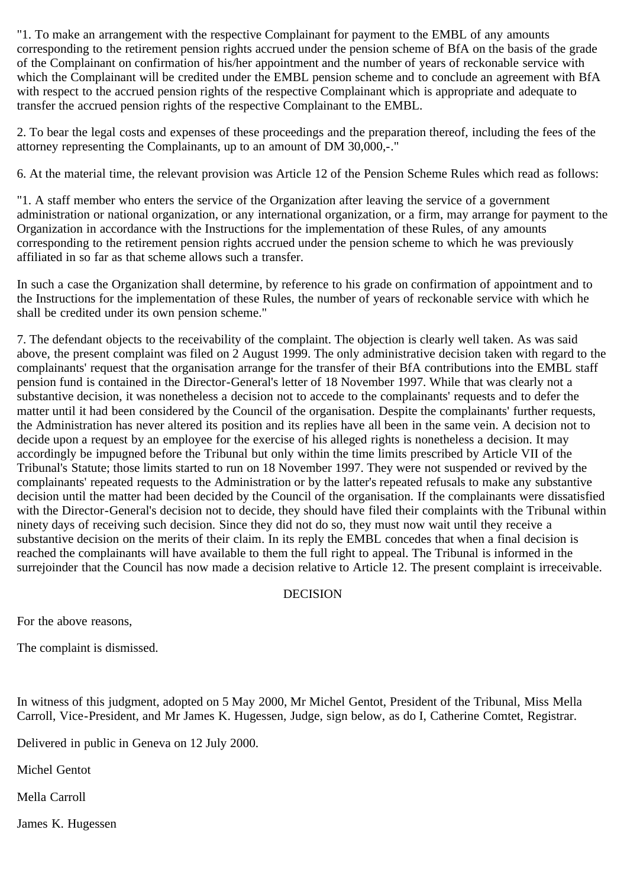"1. To make an arrangement with the respective Complainant for payment to the EMBL of any amounts corresponding to the retirement pension rights accrued under the pension scheme of BfA on the basis of the grade of the Complainant on confirmation of his/her appointment and the number of years of reckonable service with which the Complainant will be credited under the EMBL pension scheme and to conclude an agreement with BfA with respect to the accrued pension rights of the respective Complainant which is appropriate and adequate to transfer the accrued pension rights of the respective Complainant to the EMBL.

2. To bear the legal costs and expenses of these proceedings and the preparation thereof, including the fees of the attorney representing the Complainants, up to an amount of DM 30,000,-."

6. At the material time, the relevant provision was Article 12 of the Pension Scheme Rules which read as follows:

"1. A staff member who enters the service of the Organization after leaving the service of a government administration or national organization, or any international organization, or a firm, may arrange for payment to the Organization in accordance with the Instructions for the implementation of these Rules, of any amounts corresponding to the retirement pension rights accrued under the pension scheme to which he was previously affiliated in so far as that scheme allows such a transfer.

In such a case the Organization shall determine, by reference to his grade on confirmation of appointment and to the Instructions for the implementation of these Rules, the number of years of reckonable service with which he shall be credited under its own pension scheme."

7. The defendant objects to the receivability of the complaint. The objection is clearly well taken. As was said above, the present complaint was filed on 2 August 1999. The only administrative decision taken with regard to the complainants' request that the organisation arrange for the transfer of their BfA contributions into the EMBL staff pension fund is contained in the Director-General's letter of 18 November 1997. While that was clearly not a substantive decision, it was nonetheless a decision not to accede to the complainants' requests and to defer the matter until it had been considered by the Council of the organisation. Despite the complainants' further requests, the Administration has never altered its position and its replies have all been in the same vein. A decision not to decide upon a request by an employee for the exercise of his alleged rights is nonetheless a decision. It may accordingly be impugned before the Tribunal but only within the time limits prescribed by Article VII of the Tribunal's Statute; those limits started to run on 18 November 1997. They were not suspended or revived by the complainants' repeated requests to the Administration or by the latter's repeated refusals to make any substantive decision until the matter had been decided by the Council of the organisation. If the complainants were dissatisfied with the Director-General's decision not to decide, they should have filed their complaints with the Tribunal within ninety days of receiving such decision. Since they did not do so, they must now wait until they receive a substantive decision on the merits of their claim. In its reply the EMBL concedes that when a final decision is reached the complainants will have available to them the full right to appeal. The Tribunal is informed in the surrejoinder that the Council has now made a decision relative to Article 12. The present complaint is irreceivable.

## DECISION

For the above reasons,

The complaint is dismissed.

In witness of this judgment, adopted on 5 May 2000, Mr Michel Gentot, President of the Tribunal, Miss Mella Carroll, Vice-President, and Mr James K. Hugessen, Judge, sign below, as do I, Catherine Comtet, Registrar.

Delivered in public in Geneva on 12 July 2000.

Michel Gentot

Mella Carroll

James K. Hugessen